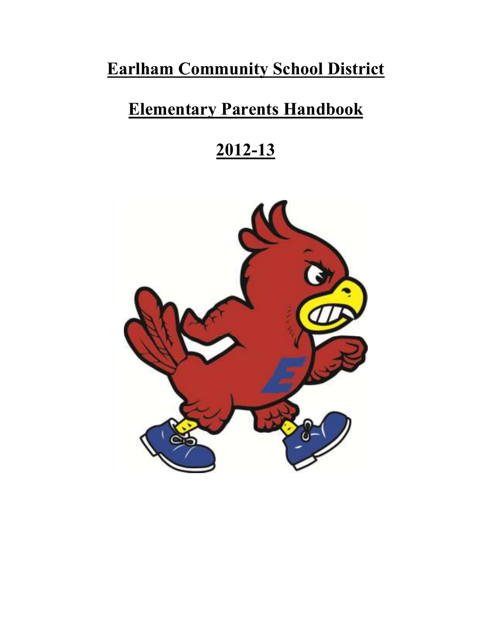# **Earlham Community School District**

# **Elementary Parents Handbook**

# **2012-13**

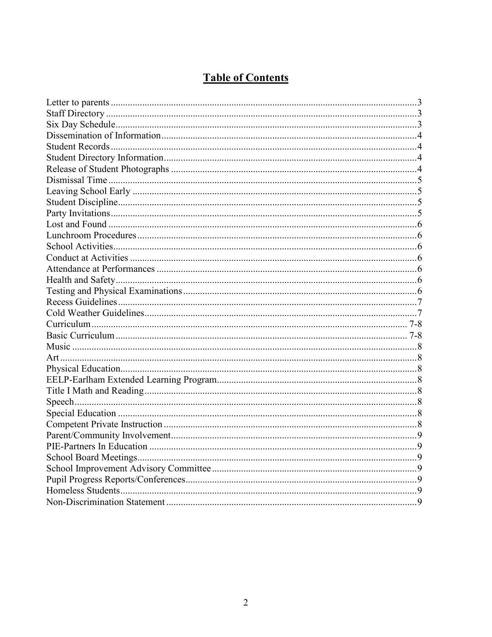# **Table of Contents**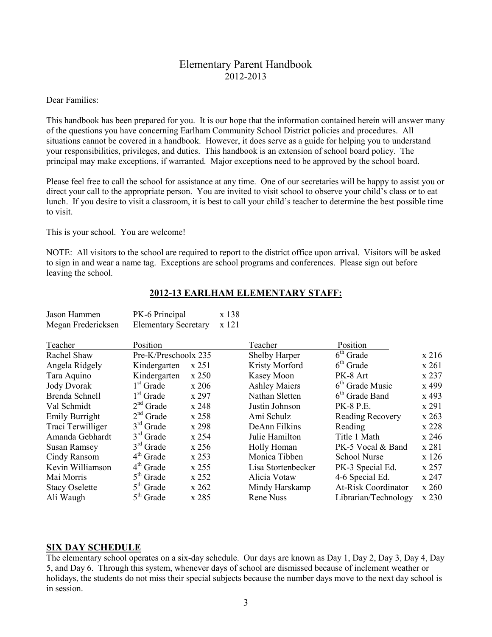# Elementary Parent Handbook 2012-2013

#### Dear Families:

This handbook has been prepared for you. It is our hope that the information contained herein will answer many of the questions you have concerning Earlham Community School District policies and procedures. All situations cannot be covered in a handbook. However, it does serve as a guide for helping you to understand your responsibilities, privileges, and duties. This handbook is an extension of school board policy. The principal may make exceptions, if warranted. Major exceptions need to be approved by the school board.

Please feel free to call the school for assistance at any time. One of our secretaries will be happy to assist you or direct your call to the appropriate person. You are invited to visit school to observe your child's class or to eat lunch. If you desire to visit a classroom, it is best to call your child's teacher to determine the best possible time to visit.

This is your school. You are welcome!

NOTE: All visitors to the school are required to report to the district office upon arrival. Visitors will be asked to sign in and wear a name tag. Exceptions are school programs and conferences. Please sign out before leaving the school.

| Jason Hammen<br>Megan Fredericksen | PK-6 Principal<br><b>Elementary Secretary</b> |         | x 138<br>x 121 |                      |                            |       |
|------------------------------------|-----------------------------------------------|---------|----------------|----------------------|----------------------------|-------|
| Teacher                            | Position                                      |         |                | Teacher              | Position                   |       |
| Rachel Shaw                        | Pre-K/Preschoolx 235                          |         |                | Shelby Harper        | $6th$ Grade                | x 216 |
| Angela Ridgely                     | Kindergarten                                  | x 251   |                | Kristy Morford       | $6th$ Grade                | x 261 |
| Tara Aquino                        | Kindergarten                                  | $x$ 250 |                | Kasey Moon           | PK-8 Art                   | x 237 |
| <b>Jody Dvorak</b>                 | $1st$ Grade                                   | x 206   |                | <b>Ashley Maiers</b> | $6th$ Grade Music          | x 499 |
| Brenda Schnell                     | 1 <sup>st</sup> Grade                         | x 297   |                | Nathan Sletten       | $6th$ Grade Band           | x 493 |
| Val Schmidt                        | $2nd$ Grade                                   | x 248   |                | Justin Johnson       | <b>PK-8 P.E.</b>           | x 291 |
| Emily Burright                     | $2nd$ Grade                                   | x258    |                | Ami Schulz           | <b>Reading Recovery</b>    | x 263 |
| Traci Terwilliger                  | $3rd$ Grade                                   | x 298   |                | DeAnn Filkins        | Reading                    | x 228 |
| Amanda Gebhardt                    | $3rd$ Grade                                   | x 254   |                | Julie Hamilton       | Title 1 Math               | x 246 |
| <b>Susan Ramsey</b>                | $3rd$ Grade                                   | x 256   |                | Holly Homan          | PK-5 Vocal & Band          | x 281 |
| Cindy Ransom                       | $4th$ Grade                                   | x 253   |                | Monica Tibben        | <b>School Nurse</b>        | x 126 |
| Kevin Williamson                   | $4th$ Grade                                   | x 255   |                | Lisa Stortenbecker   | PK-3 Special Ed.           | x 257 |
| Mai Morris                         | $5th$ Grade                                   | x 252   |                | Alicia Votaw         | 4-6 Special Ed.            | x 247 |
| <b>Stacy Oselette</b>              | $5th$ Grade                                   | x 262   |                | Mindy Harskamp       | <b>At-Risk Coordinator</b> | x 260 |
| Ali Waugh                          | $5th$ Grade                                   | x 285   |                | <b>Rene Nuss</b>     | Librarian/Technology       | x 230 |

#### **2012-13 EARLHAM ELEMENTARY STAFF:**

#### **SIX DAY SCHEDULE**

The elementary school operates on a six-day schedule. Our days are known as Day 1, Day 2, Day 3, Day 4, Day 5, and Day 6. Through this system, whenever days of school are dismissed because of inclement weather or holidays, the students do not miss their special subjects because the number days move to the next day school is in session.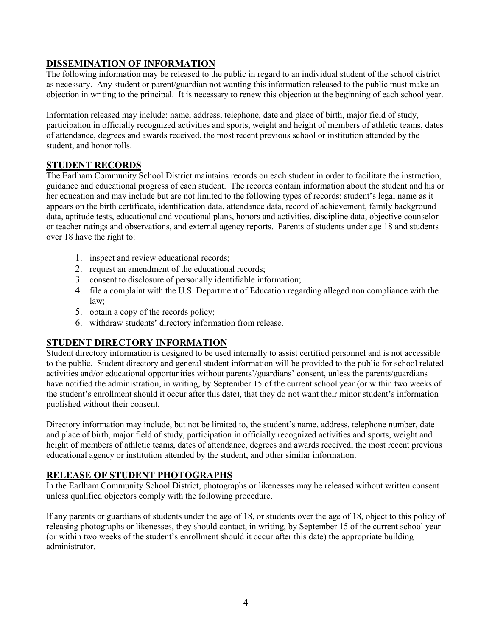# **DISSEMINATION OF INFORMATION**

The following information may be released to the public in regard to an individual student of the school district as necessary. Any student or parent/guardian not wanting this information released to the public must make an objection in writing to the principal. It is necessary to renew this objection at the beginning of each school year.

Information released may include: name, address, telephone, date and place of birth, major field of study, participation in officially recognized activities and sports, weight and height of members of athletic teams, dates of attendance, degrees and awards received, the most recent previous school or institution attended by the student, and honor rolls.

#### **STUDENT RECORDS**

The Earlham Community School District maintains records on each student in order to facilitate the instruction, guidance and educational progress of each student. The records contain information about the student and his or her education and may include but are not limited to the following types of records: student's legal name as it appears on the birth certificate, identification data, attendance data, record of achievement, family background data, aptitude tests, educational and vocational plans, honors and activities, discipline data, objective counselor or teacher ratings and observations, and external agency reports. Parents of students under age 18 and students over 18 have the right to:

- 1. inspect and review educational records;
- 2. request an amendment of the educational records;
- 3. consent to disclosure of personally identifiable information;
- 4. file a complaint with the U.S. Department of Education regarding alleged non compliance with the law;
- 5. obtain a copy of the records policy;
- 6. withdraw students' directory information from release.

#### **STUDENT DIRECTORY INFORMATION**

Student directory information is designed to be used internally to assist certified personnel and is not accessible to the public. Student directory and general student information will be provided to the public for school related activities and/or educational opportunities without parents'/guardians' consent, unless the parents/guardians have notified the administration, in writing, by September 15 of the current school year (or within two weeks of the student's enrollment should it occur after this date), that they do not want their minor student's information published without their consent.

Directory information may include, but not be limited to, the student's name, address, telephone number, date and place of birth, major field of study, participation in officially recognized activities and sports, weight and height of members of athletic teams, dates of attendance, degrees and awards received, the most recent previous educational agency or institution attended by the student, and other similar information.

#### **RELEASE OF STUDENT PHOTOGRAPHS**

In the Earlham Community School District, photographs or likenesses may be released without written consent unless qualified objectors comply with the following procedure.

If any parents or guardians of students under the age of 18, or students over the age of 18, object to this policy of releasing photographs or likenesses, they should contact, in writing, by September 15 of the current school year (or within two weeks of the student's enrollment should it occur after this date) the appropriate building administrator.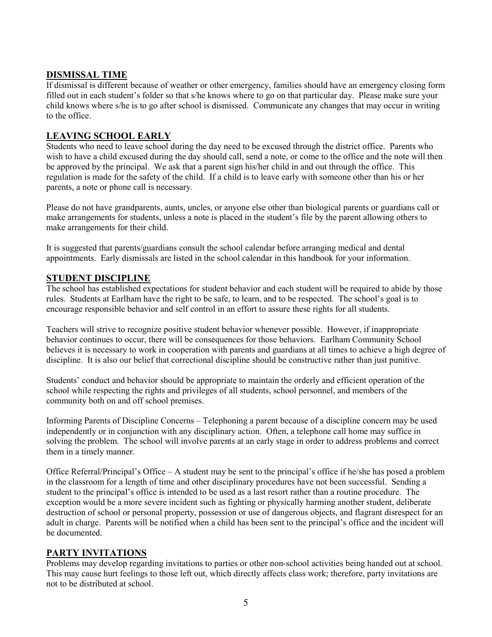### **DISMISSAL TIME**

If dismissal is different because of weather or other emergency, families should have an emergency closing form filled out in each student's folder so that s/he knows where to go on that particular day. Please make sure your child knows where s/he is to go after school is dismissed. Communicate any changes that may occur in writing to the office.

#### **LEAVING SCHOOL EARLY**

Students who need to leave school during the day need to be excused through the district office. Parents who wish to have a child excused during the day should call, send a note, or come to the office and the note will then be approved by the principal. We ask that a parent sign his/her child in and out through the office. This regulation is made for the safety of the child. If a child is to leave early with someone other than his or her parents, a note or phone call is necessary.

Please do not have grandparents, aunts, uncles, or anyone else other than biological parents or guardians call or make arrangements for students, unless a note is placed in the student's file by the parent allowing others to make arrangements for their child.

It is suggested that parents/guardians consult the school calendar before arranging medical and dental appointments. Early dismissals are listed in the school calendar in this handbook for your information.

#### **STUDENT DISCIPLINE**

The school has established expectations for student behavior and each student will be required to abide by those rules. Students at Earlham have the right to be safe, to learn, and to be respected. The school's goal is to encourage responsible behavior and self control in an effort to assure these rights for all students.

Teachers will strive to recognize positive student behavior whenever possible. However, if inappropriate behavior continues to occur, there will be consequences for those behaviors. Earlham Community School believes it is necessary to work in cooperation with parents and guardians at all times to achieve a high degree of discipline. It is also our belief that correctional discipline should be constructive rather than just punitive.

Students' conduct and behavior should be appropriate to maintain the orderly and efficient operation of the school while respecting the rights and privileges of all students, school personnel, and members of the community both on and off school premises.

Informing Parents of Discipline Concerns – Telephoning a parent because of a discipline concern may be used independently or in conjunction with any disciplinary action. Often, a telephone call home may suffice in solving the problem. The school will involve parents at an early stage in order to address problems and correct them in a timely manner.

Office Referral/Principal's Office – A student may be sent to the principal's office if he/she has posed a problem in the classroom for a length of time and other disciplinary procedures have not been successful. Sending a student to the principal's office is intended to be used as a last resort rather than a routine procedure. The exception would be a more severe incident such as fighting or physically harming another student, deliberate destruction of school or personal property, possession or use of dangerous objects, and flagrant disrespect for an adult in charge. Parents will be notified when a child has been sent to the principal's office and the incident will be documented.

# **PARTY INVITATIONS**

Problems may develop regarding invitations to parties or other non-school activities being handed out at school. This may cause hurt feelings to those left out, which directly affects class work; therefore, party invitations are not to be distributed at school.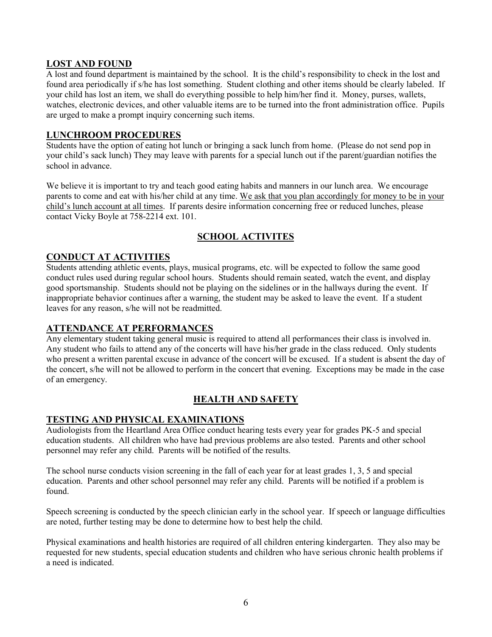#### **LOST AND FOUND**

A lost and found department is maintained by the school. It is the child's responsibility to check in the lost and found area periodically if s/he has lost something. Student clothing and other items should be clearly labeled. If your child has lost an item, we shall do everything possible to help him/her find it. Money, purses, wallets, watches, electronic devices, and other valuable items are to be turned into the front administration office. Pupils are urged to make a prompt inquiry concerning such items.

#### **LUNCHROOM PROCEDURES**

Students have the option of eating hot lunch or bringing a sack lunch from home. (Please do not send pop in your child's sack lunch) They may leave with parents for a special lunch out if the parent/guardian notifies the school in advance.

We believe it is important to try and teach good eating habits and manners in our lunch area. We encourage parents to come and eat with his/her child at any time. We ask that you plan accordingly for money to be in your child's lunch account at all times. If parents desire information concerning free or reduced lunches, please contact Vicky Boyle at 758-2214 ext. 101.

# **SCHOOL ACTIVITES**

#### **CONDUCT AT ACTIVITIES**

Students attending athletic events, plays, musical programs, etc. will be expected to follow the same good conduct rules used during regular school hours. Students should remain seated, watch the event, and display good sportsmanship. Students should not be playing on the sidelines or in the hallways during the event. If inappropriate behavior continues after a warning, the student may be asked to leave the event. If a student leaves for any reason, s/he will not be readmitted.

# **ATTENDANCE AT PERFORMANCES**

Any elementary student taking general music is required to attend all performances their class is involved in. Any student who fails to attend any of the concerts will have his/her grade in the class reduced. Only students who present a written parental excuse in advance of the concert will be excused. If a student is absent the day of the concert, s/he will not be allowed to perform in the concert that evening. Exceptions may be made in the case of an emergency.

# **HEALTH AND SAFETY**

# **TESTING AND PHYSICAL EXAMINATIONS**

Audiologists from the Heartland Area Office conduct hearing tests every year for grades PK-5 and special education students. All children who have had previous problems are also tested. Parents and other school personnel may refer any child. Parents will be notified of the results.

The school nurse conducts vision screening in the fall of each year for at least grades 1, 3, 5 and special education. Parents and other school personnel may refer any child. Parents will be notified if a problem is found.

Speech screening is conducted by the speech clinician early in the school year. If speech or language difficulties are noted, further testing may be done to determine how to best help the child.

Physical examinations and health histories are required of all children entering kindergarten. They also may be requested for new students, special education students and children who have serious chronic health problems if a need is indicated.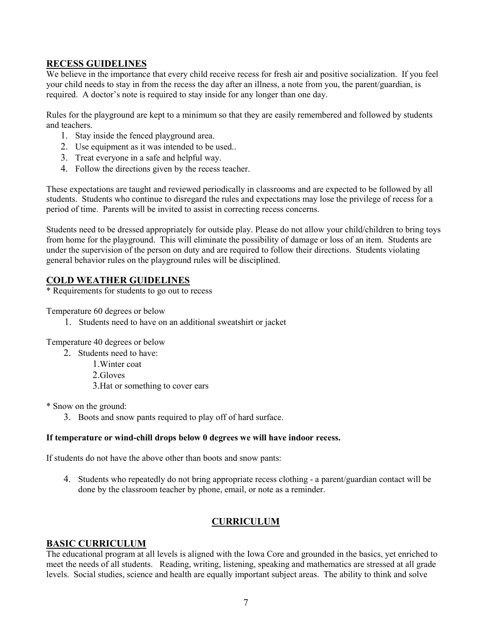#### **RECESS GUIDELINES**

We believe in the importance that every child receive recess for fresh air and positive socialization. If you feel your child needs to stay in from the recess the day after an illness, a note from you, the parent/guardian, is required. A doctor's note is required to stay inside for any longer than one day.

Rules for the playground are kept to a minimum so that they are easily remembered and followed by students and teachers.

- 1. Stay inside the fenced playground area.
- 2. Use equipment as it was intended to be used..
- 3. Treat everyone in a safe and helpful way.
- 4. Follow the directions given by the recess teacher.

These expectations are taught and reviewed periodically in classrooms and are expected to be followed by all students. Students who continue to disregard the rules and expectations may lose the privilege of recess for a period of time. Parents will be invited to assist in correcting recess concerns.

Students need to be dressed appropriately for outside play. Please do not allow your child/children to bring toys from home for the playground. This will eliminate the possibility of damage or loss of an item. Students are under the supervision of the person on duty and are required to follow their directions. Students violating general behavior rules on the playground rules will be disciplined.

#### **COLD WEATHER GUIDELINES**

\* Requirements for students to go out to recess

Temperature 60 degrees or below

1. Students need to have on an additional sweatshirt or jacket

Temperature 40 degrees or below

- 2. Students need to have:
	- 1.Winter coat
	- 2.Gloves
	- 3.Hat or something to cover ears

\* Snow on the ground:

3. Boots and snow pants required to play off of hard surface.

#### **If temperature or wind-chill drops below 0 degrees we will have indoor recess.**

If students do not have the above other than boots and snow pants:

4. Students who repeatedly do not bring appropriate recess clothing - a parent/guardian contact will be done by the classroom teacher by phone, email, or note as a reminder.

# **CURRICULUM**

#### **BASIC CURRICULUM**

The educational program at all levels is aligned with the Iowa Core and grounded in the basics, yet enriched to meet the needs of all students. Reading, writing, listening, speaking and mathematics are stressed at all grade levels. Social studies, science and health are equally important subject areas. The ability to think and solve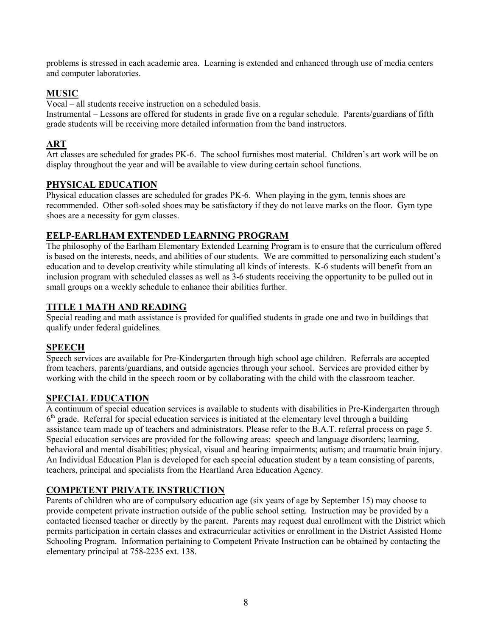problems is stressed in each academic area. Learning is extended and enhanced through use of media centers and computer laboratories.

# **MUSIC**

Vocal – all students receive instruction on a scheduled basis.

Instrumental – Lessons are offered for students in grade five on a regular schedule. Parents/guardians of fifth grade students will be receiving more detailed information from the band instructors.

# **ART**

Art classes are scheduled for grades PK-6. The school furnishes most material. Children's art work will be on display throughout the year and will be available to view during certain school functions.

# **PHYSICAL EDUCATION**

Physical education classes are scheduled for grades PK-6. When playing in the gym, tennis shoes are recommended. Other soft-soled shoes may be satisfactory if they do not leave marks on the floor. Gym type shoes are a necessity for gym classes.

# **EELP-EARLHAM EXTENDED LEARNING PROGRAM**

The philosophy of the Earlham Elementary Extended Learning Program is to ensure that the curriculum offered is based on the interests, needs, and abilities of our students. We are committed to personalizing each student's education and to develop creativity while stimulating all kinds of interests. K-6 students will benefit from an inclusion program with scheduled classes as well as 3-6 students receiving the opportunity to be pulled out in small groups on a weekly schedule to enhance their abilities further.

# **TITLE 1 MATH AND READING**

Special reading and math assistance is provided for qualified students in grade one and two in buildings that qualify under federal guidelines.

# **SPEECH**

Speech services are available for Pre-Kindergarten through high school age children. Referrals are accepted from teachers, parents/guardians, and outside agencies through your school. Services are provided either by working with the child in the speech room or by collaborating with the child with the classroom teacher.

# **SPECIAL EDUCATION**

A continuum of special education services is available to students with disabilities in Pre-Kindergarten through 6<sup>th</sup> grade. Referral for special education services is initiated at the elementary level through a building assistance team made up of teachers and administrators. Please refer to the B.A.T. referral process on page 5. Special education services are provided for the following areas: speech and language disorders; learning, behavioral and mental disabilities; physical, visual and hearing impairments; autism; and traumatic brain injury. An Individual Education Plan is developed for each special education student by a team consisting of parents, teachers, principal and specialists from the Heartland Area Education Agency.

# **COMPETENT PRIVATE INSTRUCTION**

Parents of children who are of compulsory education age (six years of age by September 15) may choose to provide competent private instruction outside of the public school setting. Instruction may be provided by a contacted licensed teacher or directly by the parent. Parents may request dual enrollment with the District which permits participation in certain classes and extracurricular activities or enrollment in the District Assisted Home Schooling Program. Information pertaining to Competent Private Instruction can be obtained by contacting the elementary principal at 758-2235 ext. 138.